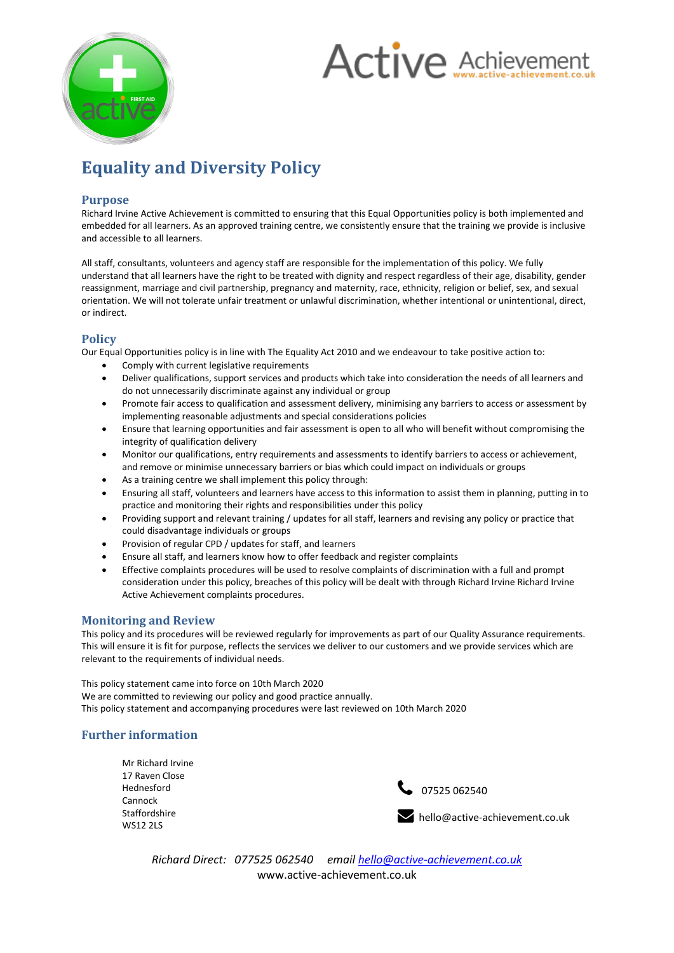

# **Active Achievement**

## **Equality and Diversity Policy**

#### **Purpose**

Richard Irvine Active Achievement is committed to ensuring that this Equal Opportunities policy is both implemented and embedded for all learners. As an approved training centre, we consistently ensure that the training we provide is inclusive and accessible to all learners.

All staff, consultants, volunteers and agency staff are responsible for the implementation of this policy. We fully understand that all learners have the right to be treated with dignity and respect regardless of their age, disability, gender reassignment, marriage and civil partnership, pregnancy and maternity, race, ethnicity, religion or belief, sex, and sexual orientation. We will not tolerate unfair treatment or unlawful discrimination, whether intentional or unintentional, direct, or indirect.

#### **Policy**

Our Equal Opportunities policy is in line with The Equality Act 2010 and we endeavour to take positive action to:

- Comply with current legislative requirements
	- Deliver qualifications, support services and products which take into consideration the needs of all learners and do not unnecessarily discriminate against any individual or group
	- Promote fair access to qualification and assessment delivery, minimising any barriers to access or assessment by implementing reasonable adjustments and special considerations policies
	- Ensure that learning opportunities and fair assessment is open to all who will benefit without compromising the integrity of qualification delivery
	- Monitor our qualifications, entry requirements and assessments to identify barriers to access or achievement, and remove or minimise unnecessary barriers or bias which could impact on individuals or groups
	- As a training centre we shall implement this policy through:
	- Ensuring all staff, volunteers and learners have access to this information to assist them in planning, putting in to practice and monitoring their rights and responsibilities under this policy
	- Providing support and relevant training / updates for all staff, learners and revising any policy or practice that could disadvantage individuals or groups
	- Provision of regular CPD / updates for staff, and learners
- Ensure all staff, and learners know how to offer feedback and register complaints
- Effective complaints procedures will be used to resolve complaints of discrimination with a full and prompt consideration under this policy, breaches of this policy will be dealt with through Richard Irvine Richard Irvine Active Achievement complaints procedures.

#### **Monitoring and Review**

This policy and its procedures will be reviewed regularly for improvements as part of our Quality Assurance requirements. This will ensure it is fit for purpose, reflects the services we deliver to our customers and we provide services which are relevant to the requirements of individual needs.

This policy statement came into force on 10th March 2020 We are committed to reviewing our policy and good practice annually. This policy statement and accompanying procedures were last reviewed on 10th March 2020

### **Further information**

| Mr Richard Irvine |
|-------------------|
| 17 Raven Close    |
| Hednesford        |
| Cannock           |
| Staffordshire     |
| WS12 2LS          |
|                   |



hello@active-achievement.co.uk

*Richard Direct: 077525 062540 email hello@active-achievement.co.uk* www.active-achievement.co.uk